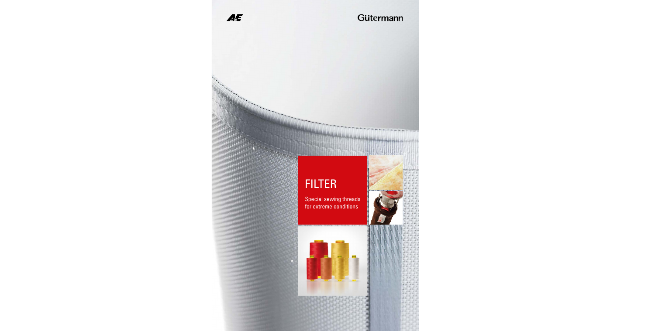

### Gütermann

## FILTER

Special sewing threads for extreme conditions



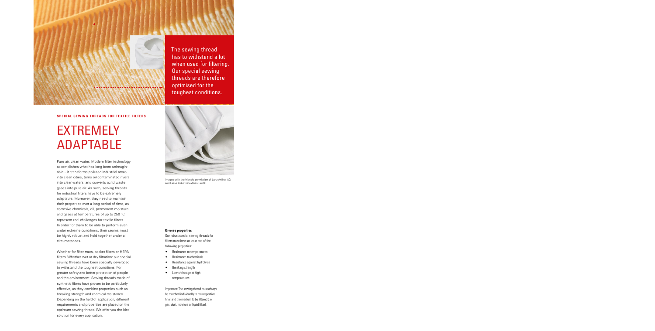The sewing thread has to withstand a lot when used for filtering. Our special sewing threads are therefore optimised for the toughest conditions.

#### **SPECIAL SEWING THREADS FOR TEXTILE FILTERS**

# EXTREMELY ADAPTABLE

Pure air, clean water: Modern filter technology accomplishes what has long been unimaginable – it transforms polluted industrial areas into clean cities, turns oil-contaminated rivers into clear waters, and converts acrid waste gases into pure air. As such, sewing threads for industrial filters have to be extremely adaptable. Moreover, they need to maintain their properties over a long period of time, as corrosive chemicals, oil, permanent moisture and gases at temperatures of up to 250 °C represent real challenges for textile filters. In order for them to be able to perform even under extreme conditions, their seams must be highly robust and hold together under all circumstances.

Whether for filter mats, pocket filters or HEPA filters. Whether wet or dry filtration: our special sewing threads have been specially developed to withstand the toughest conditions. For greater safety and better protection of people and the environment. Sewing threads made of synthetic fibres have proven to be particularly effective, as they combine properties such as breaking strength and chemical resistance. Depending on the field of application, different requirements and properties are placed on the optimum sewing thread. We offer you the ideal solution for every application.



Images with the friendly permission of Lanz-Anliker AG and Fasse Industrietextilien GmbH.

#### **Diverse properties**

Our robust special sewing threads for filters must have at least one of the following properties:

- Resistance to temperatures
- Resistance to chemicals
- Resistance against hydrolysis
- Breaking strength
- Low shrinkage at high temperatures

Important: The sewing thread must always be matched individually to the respective filter and the medium to be filtered (i.e. gas, dust, moisture or liquid filter).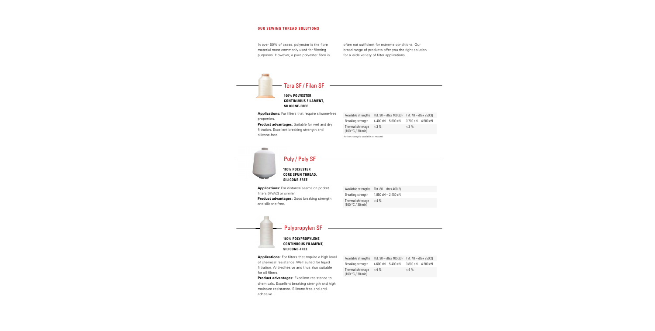#### **OUR SEWING THREAD SOLUTIONS OUR SEWING THREAD SOLUTIONS**

In over 50% of cases, polyester is the fibre material most commonly used for filtering purposes. However, a pure polyester fibre is often not sufficient for extreme conditions. Our broad range of products offer you the right solution for a wide variety of filter applications.

#### Tera SF / Filan SF

#### **100% POLYESTER CONTINUOUS FILAMENT, SILICONE-FREE**

**Applications:** For filters that require silicone-free properties.

**Product advantages:** Suitable for wet and dry filtration. Excellent breaking strength and silicone-free.

| Available strengths                    | Tkt. $30 -$ dtex 1000(3) Tkt. $40 -$ dtex 750(3) |                                       |
|----------------------------------------|--------------------------------------------------|---------------------------------------|
| Breaking strength                      | 4.400 $cN - 5.600$ $cN$                          | $3.700 \text{ cN} - 4.500 \text{ cN}$ |
| Thermal shrinkage<br>(160 °C / 30 min) | $<$ 3 %                                          | $<$ 3 %                               |

further strengths available on request

### Poly / Poly SF

**100% POLYESTER CORE SPUN THREAD, SILICONE-FREE**

**Applications:** For distance seams on pocket filters (HVAC) or similar.

**Product advantages:** Good breaking strength and silicone-free.

| Available strengths                    | Tkt. $80 -$ dtex $400(2)$ |
|----------------------------------------|---------------------------|
| Breaking strength                      | $1.850cN - 2.450cN$       |
| Thermal shrinkage<br>(160 °C / 30 min) | $<$ 4 %                   |



### Polypropylen SF

#### **100% POLYPROPYLENE CONTINUOUS FILAMENT, SILICONE-FREE**

**Applications:** For filters that require a high level of chemical resistance. Well suited for liquid filtration. Anti-adhesive and thus also suitable for oil filters.

**Product advantages:** Excellent resistance to chemicals. Excellent breaking strength and high moisture resistance. Silicone-free and antiadhesive.

|                                        | Available strengths $Tkt. 30 - dtext. 1050(3)$ | Tkt. 40 – dtex 750(2)                 |
|----------------------------------------|------------------------------------------------|---------------------------------------|
| Breaking strength                      | 4.600 $cN - 5.400 cN$                          | $3.800 \text{ cN} - 4.200 \text{ cN}$ |
| Thermal shrinkage<br>(160 °C / 30 min) | $<$ 4 $\%$                                     | $< 4 \%$                              |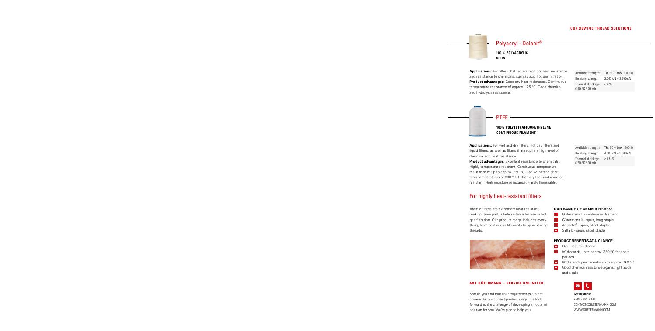

**Applications:** For filters that require high dry heat resistance and resistance to chemicals, such as acid hot gas filtration. **Product advantages:** Good dry heat resistance. Continuous temperature resistance of approx. 125 °C. Good chemical and hydrolysis resistance.

| Available strengths                    | Tkt. $30 -$ dtex 1000(3) |
|----------------------------------------|--------------------------|
| Breaking strength                      | $3.040$ cN $-$ 3.760 cN  |
| Thermal shrinkage<br>(160 °C / 30 min) | $<$ 3 %                  |

 $PTFF -$ 

#### **100% POLYTETRAFLUORETHYLENE CONTINUOUS FILAMENT**

**Applications:** For wet and dry filters, hot gas filters and liquid filters, as well as filters that require a high level of chemical and heat resistance.

**Product advantages:** Excellent resistance to chemicals. Highly temperature-resistant. Continuous temperature resistance of up to approx. 260 °C. Can withstand shortterm temperatures of 300 °C. Extremely tear- and abrasion resistant. High moisture resistance. Hardly flammable.

### For highly heat-resistant filters

Aramid fibres are extremely heat-resistant, making them particularly suitable for use in hot gas filtration. Our product range includes everything, from continuous filaments to spun sewing threads.



#### **A&E GÜTERMANN – SERVICE UNLIMITED**

Should you find that your requirements are not covered by our current product range, we look forward to the challenge of developing an optimal solution for you. We're glad to help you.

Available strengths Tkt. 30 – dtex 1300(3) Breaking strength  $4.000 \text{ cN} - 5.600 \text{ cN}$ Thermal shrinkage (160 °C / 30 min)  $< 1.5 \%$ 

#### **OUR RANGE OF ARAMID FIBRES:**

- **H** Gütermann L continuous filament
- **+** Gütermann K spun, long staple
- $+$ Anesafe® - spun, short staple
- Salta K spun, short staple  $+$

#### **PRODUCT BENEFITS AT A GLANCE:**

- $+$ High heat resistance
- Withstands up to approx. 360 °C for short  $+$ periods
- Withstands permanently up to approx. 260 °C  $+$
- Good chemical resistance against light acids and alkalis



**Get in touch:** + 49 7681 21-0 CONTACT@GUETERMANN.COM WWW.GUETERMANN.COM